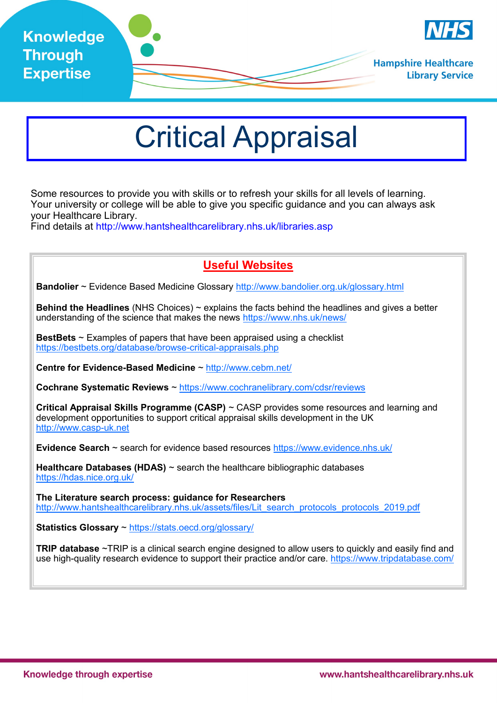

## Critical Appraisal

Some resources to provide you with skills or to refresh your skills for all levels of learning. Your university or college will be able to give you specific guidance and you can always ask your Healthcare Library.

Find details at http://www.hantshealthcarelibrary.nhs.uk/libraries.asp

## **Useful Websites**

**Bandolier** ~ Evidence Based Medicine Glossary <http://www.bandolier.org.uk/glossary.html>

**Behind the Headlines** (NHS Choices) ~ explains the facts behind the headlines and gives a better understanding of the science that makes the news <https://www.nhs.uk/news/>

**BestBets** ~ Examples of papers that have been appraised using a checklist [https://bestbets.org/database/browse](https://bestbets.org/database/browse-critical-appraisals.php)-critical-appraisals.php

**Centre for Evidence-Based Medicine** ~ http://www.cebm.net/

**Cochrane Systematic Reviews** ~ <https://www.cochranelibrary.com/cdsr/reviews>

**Critical Appraisal Skills Programme (CASP)** ~ CASP provides some resources and learning and development opportunities to support critical appraisal skills development in the UK [http://www.casp](http://www.casp-uk.net/)-uk.net

**Evidence Search** ~ search for evidence based resources <https://www.evidence.nhs.uk/>

**Healthcare Databases (HDAS)** ~ search the healthcare bibliographic databases <https://hdas.nice.org.uk/>

**The Literature search process: guidance for Researchers**  [http://www.hantshealthcarelibrary.nhs.uk/assets/files/Lit\\_search\\_protocols\\_protocols\\_2019.pdf](http://www.hantshealthcarelibrary.nhs.uk/assets/files/Lit_search_protocols_protocols_2019.pdf)

**Statistics Glossary** ~ <https://stats.oecd.org/glossary/>

**TRIP database** ~TRIP is a clinical search engine designed to allow users to quickly and easily find and use high-quality research evidence to support their practice and/or care.<https://www.tripdatabase.com/>